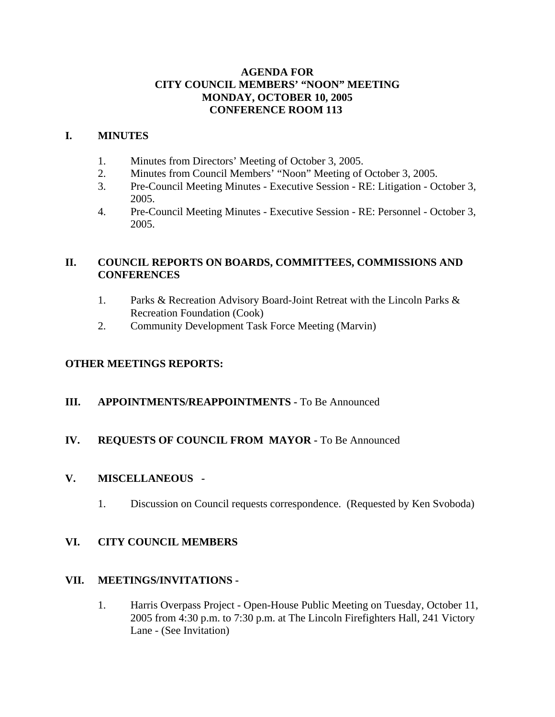## **AGENDA FOR CITY COUNCIL MEMBERS' "NOON" MEETING MONDAY, OCTOBER 10, 2005 CONFERENCE ROOM 113**

## **I. MINUTES**

- 1. Minutes from Directors' Meeting of October 3, 2005.
- 2. Minutes from Council Members' "Noon" Meeting of October 3, 2005.
- 3. Pre-Council Meeting Minutes Executive Session RE: Litigation October 3, 2005.
- 4. Pre-Council Meeting Minutes Executive Session RE: Personnel October 3, 2005.

## **II. COUNCIL REPORTS ON BOARDS, COMMITTEES, COMMISSIONS AND CONFERENCES**

- 1. Parks & Recreation Advisory Board-Joint Retreat with the Lincoln Parks & Recreation Foundation (Cook)
- 2. Community Development Task Force Meeting (Marvin)

## **OTHER MEETINGS REPORTS:**

## **III.** APPOINTMENTS/REAPPOINTMENTS - To Be Announced

## **IV. REQUESTS OF COUNCIL FROM MAYOR -** To Be Announced

## **V. MISCELLANEOUS -**

1. Discussion on Council requests correspondence. (Requested by Ken Svoboda)

## **VI. CITY COUNCIL MEMBERS**

## **VII. MEETINGS/INVITATIONS -**

1. Harris Overpass Project - Open-House Public Meeting on Tuesday, October 11, 2005 from 4:30 p.m. to 7:30 p.m. at The Lincoln Firefighters Hall, 241 Victory Lane - (See Invitation)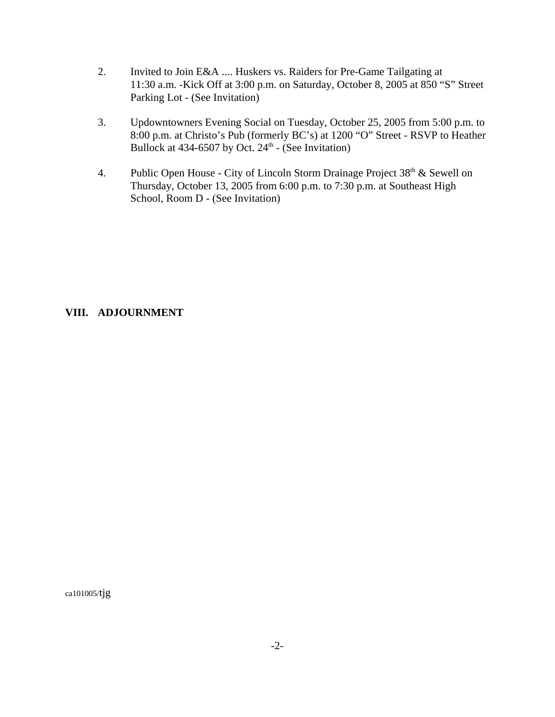- 2. Invited to Join E&A .... Huskers vs. Raiders for Pre-Game Tailgating at 11:30 a.m. -Kick Off at 3:00 p.m. on Saturday, October 8, 2005 at 850 "S" Street Parking Lot - (See Invitation)
- 3. Updowntowners Evening Social on Tuesday, October 25, 2005 from 5:00 p.m. to 8:00 p.m. at Christo's Pub (formerly BC's) at 1200 "O" Street - RSVP to Heather Bullock at 434-6507 by Oct.  $24<sup>th</sup>$  - (See Invitation)
- 4. Public Open House City of Lincoln Storm Drainage Project  $38<sup>th</sup>$  & Sewell on Thursday, October 13, 2005 from 6:00 p.m. to 7:30 p.m. at Southeast High School, Room D - (See Invitation)

## **VIII. ADJOURNMENT**

ca101005/tjg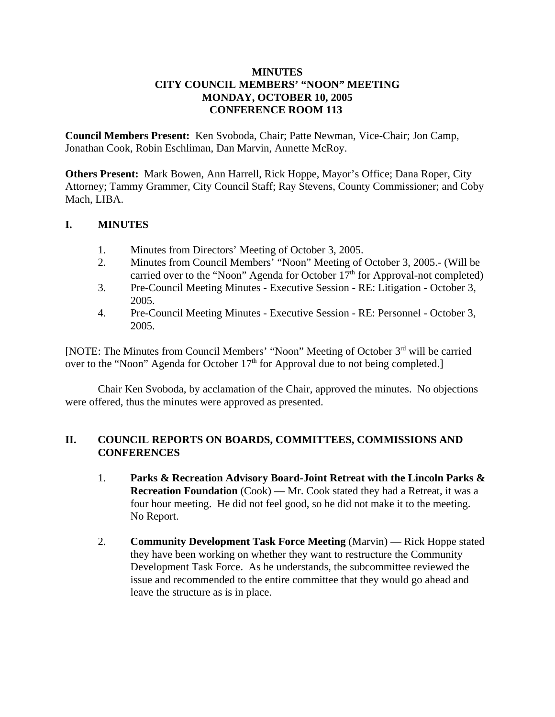## **MINUTES CITY COUNCIL MEMBERS' "NOON" MEETING MONDAY, OCTOBER 10, 2005 CONFERENCE ROOM 113**

**Council Members Present:** Ken Svoboda, Chair; Patte Newman, Vice-Chair; Jon Camp, Jonathan Cook, Robin Eschliman, Dan Marvin, Annette McRoy.

**Others Present:** Mark Bowen, Ann Harrell, Rick Hoppe, Mayor's Office; Dana Roper, City Attorney; Tammy Grammer, City Council Staff; Ray Stevens, County Commissioner; and Coby Mach, LIBA.

## **I. MINUTES**

- 1. Minutes from Directors' Meeting of October 3, 2005.
- 2. Minutes from Council Members' "Noon" Meeting of October 3, 2005.- (Will be carried over to the "Noon" Agenda for October  $17<sup>th</sup>$  for Approval-not completed)
- 3. Pre-Council Meeting Minutes Executive Session RE: Litigation October 3, 2005.
- 4. Pre-Council Meeting Minutes Executive Session RE: Personnel October 3, 2005.

[NOTE: The Minutes from Council Members' "Noon" Meeting of October 3rd will be carried over to the "Noon" Agenda for October  $17<sup>th</sup>$  for Approval due to not being completed.]

Chair Ken Svoboda, by acclamation of the Chair, approved the minutes. No objections were offered, thus the minutes were approved as presented.

## **II. COUNCIL REPORTS ON BOARDS, COMMITTEES, COMMISSIONS AND CONFERENCES**

- 1. **Parks & Recreation Advisory Board-Joint Retreat with the Lincoln Parks & Recreation Foundation** (Cook) — Mr. Cook stated they had a Retreat, it was a four hour meeting. He did not feel good, so he did not make it to the meeting. No Report.
- 2. **Community Development Task Force Meeting** (Marvin) Rick Hoppe stated they have been working on whether they want to restructure the Community Development Task Force. As he understands, the subcommittee reviewed the issue and recommended to the entire committee that they would go ahead and leave the structure as is in place.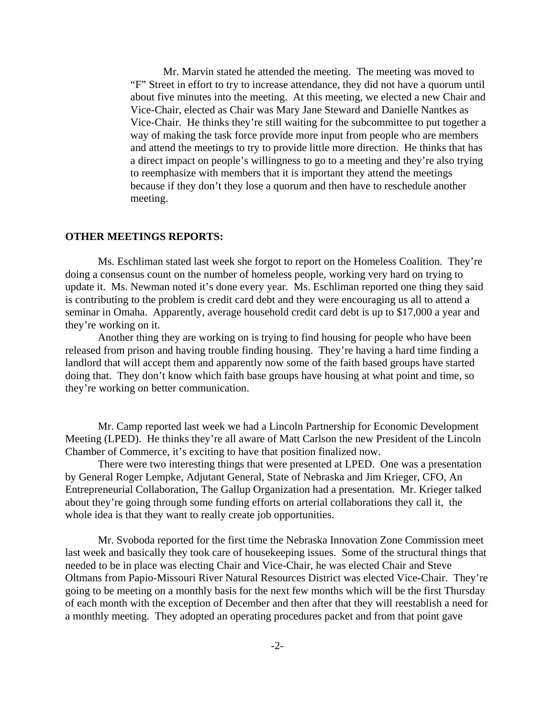Mr. Marvin stated he attended the meeting. The meeting was moved to "F" Street in effort to try to increase attendance, they did not have a quorum until about five minutes into the meeting. At this meeting, we elected a new Chair and Vice-Chair, elected as Chair was Mary Jane Steward and Danielle Nantkes as Vice-Chair. He thinks they're still waiting for the subcommittee to put together a way of making the task force provide more input from people who are members and attend the meetings to try to provide little more direction. He thinks that has a direct impact on people's willingness to go to a meeting and they're also trying to reemphasize with members that it is important they attend the meetings because if they don't they lose a quorum and then have to reschedule another meeting.

#### **OTHER MEETINGS REPORTS:**

Ms. Eschliman stated last week she forgot to report on the Homeless Coalition. They're doing a consensus count on the number of homeless people, working very hard on trying to update it. Ms. Newman noted it's done every year. Ms. Eschliman reported one thing they said is contributing to the problem is credit card debt and they were encouraging us all to attend a seminar in Omaha. Apparently, average household credit card debt is up to \$17,000 a year and they're working on it.

Another thing they are working on is trying to find housing for people who have been released from prison and having trouble finding housing. They're having a hard time finding a landlord that will accept them and apparently now some of the faith based groups have started doing that. They don't know which faith base groups have housing at what point and time, so they're working on better communication.

Mr. Camp reported last week we had a Lincoln Partnership for Economic Development Meeting (LPED). He thinks they're all aware of Matt Carlson the new President of the Lincoln Chamber of Commerce, it's exciting to have that position finalized now.

There were two interesting things that were presented at LPED. One was a presentation by General Roger Lempke, Adjutant General, State of Nebraska and Jim Krieger, CFO, An Entrepreneurial Collaboration, The Gallup Organization had a presentation. Mr. Krieger talked about they're going through some funding efforts on arterial collaborations they call it, the whole idea is that they want to really create job opportunities.

Mr. Svoboda reported for the first time the Nebraska Innovation Zone Commission meet last week and basically they took care of housekeeping issues. Some of the structural things that needed to be in place was electing Chair and Vice-Chair, he was elected Chair and Steve Oltmans from Papio-Missouri River Natural Resources District was elected Vice-Chair. They're going to be meeting on a monthly basis for the next few months which will be the first Thursday of each month with the exception of December and then after that they will reestablish a need for a monthly meeting. They adopted an operating procedures packet and from that point gave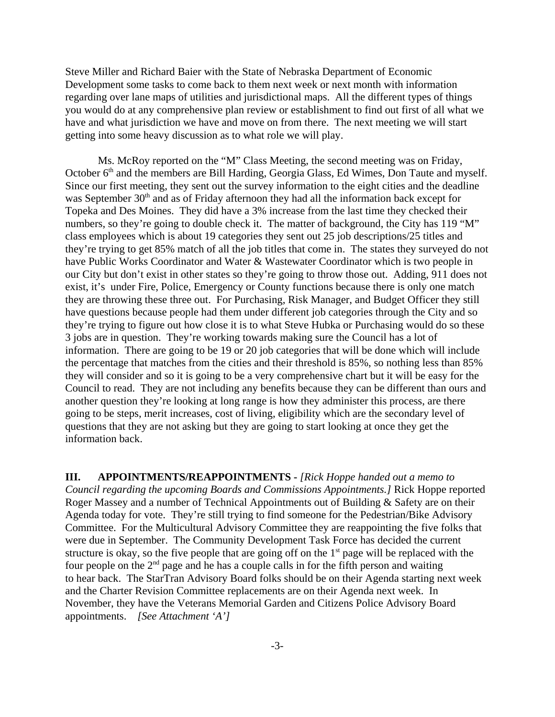Steve Miller and Richard Baier with the State of Nebraska Department of Economic Development some tasks to come back to them next week or next month with information regarding over lane maps of utilities and jurisdictional maps. All the different types of things you would do at any comprehensive plan review or establishment to find out first of all what we have and what jurisdiction we have and move on from there. The next meeting we will start getting into some heavy discussion as to what role we will play.

Ms. McRoy reported on the "M" Class Meeting, the second meeting was on Friday, October 6<sup>th</sup> and the members are Bill Harding, Georgia Glass, Ed Wimes, Don Taute and myself. Since our first meeting, they sent out the survey information to the eight cities and the deadline was September  $30<sup>th</sup>$  and as of Friday afternoon they had all the information back except for Topeka and Des Moines. They did have a 3% increase from the last time they checked their numbers, so they're going to double check it. The matter of background, the City has 119 "M" class employees which is about 19 categories they sent out 25 job descriptions/25 titles and they're trying to get 85% match of all the job titles that come in. The states they surveyed do not have Public Works Coordinator and Water & Wastewater Coordinator which is two people in our City but don't exist in other states so they're going to throw those out. Adding, 911 does not exist, it's under Fire, Police, Emergency or County functions because there is only one match they are throwing these three out. For Purchasing, Risk Manager, and Budget Officer they still have questions because people had them under different job categories through the City and so they're trying to figure out how close it is to what Steve Hubka or Purchasing would do so these 3 jobs are in question. They're working towards making sure the Council has a lot of information. There are going to be 19 or 20 job categories that will be done which will include the percentage that matches from the cities and their threshold is 85%, so nothing less than 85% they will consider and so it is going to be a very comprehensive chart but it will be easy for the Council to read. They are not including any benefits because they can be different than ours and another question they're looking at long range is how they administer this process, are there going to be steps, merit increases, cost of living, eligibility which are the secondary level of questions that they are not asking but they are going to start looking at once they get the information back.

**III. APPOINTMENTS/REAPPOINTMENTS -** *[Rick Hoppe handed out a memo to Council regarding the upcoming Boards and Commissions Appointments.]* Rick Hoppe reported Roger Massey and a number of Technical Appointments out of Building & Safety are on their Agenda today for vote. They're still trying to find someone for the Pedestrian/Bike Advisory Committee. For the Multicultural Advisory Committee they are reappointing the five folks that were due in September. The Community Development Task Force has decided the current structure is okay, so the five people that are going off on the  $1<sup>st</sup>$  page will be replaced with the four people on the  $2<sup>nd</sup>$  page and he has a couple calls in for the fifth person and waiting to hear back. The StarTran Advisory Board folks should be on their Agenda starting next week and the Charter Revision Committee replacements are on their Agenda next week. In November, they have the Veterans Memorial Garden and Citizens Police Advisory Board appointments. *[See Attachment 'A']*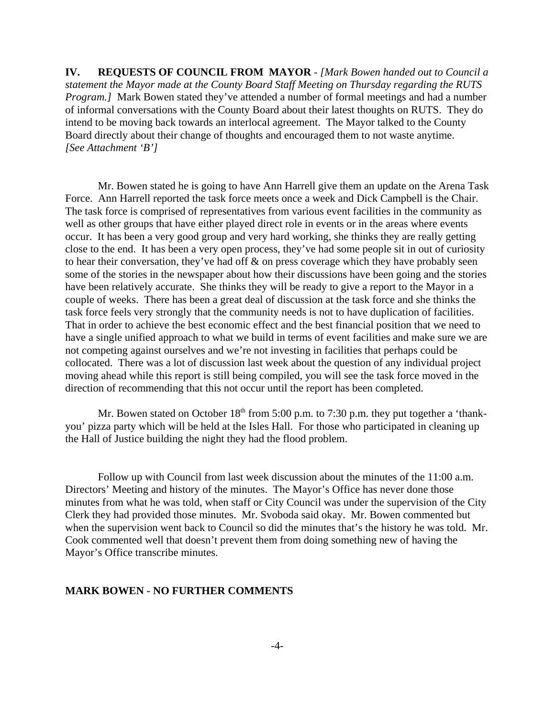**IV. REQUESTS OF COUNCIL FROM MAYOR** - *[Mark Bowen handed out to Council a statement the Mayor made at the County Board Staff Meeting on Thursday regarding the RUTS Program.]* Mark Bowen stated they've attended a number of formal meetings and had a number of informal conversations with the County Board about their latest thoughts on RUTS. They do intend to be moving back towards an interlocal agreement. The Mayor talked to the County Board directly about their change of thoughts and encouraged them to not waste anytime. *[See Attachment 'B']*

Mr. Bowen stated he is going to have Ann Harrell give them an update on the Arena Task Force. Ann Harrell reported the task force meets once a week and Dick Campbell is the Chair. The task force is comprised of representatives from various event facilities in the community as well as other groups that have either played direct role in events or in the areas where events occur. It has been a very good group and very hard working, she thinks they are really getting close to the end. It has been a very open process, they've had some people sit in out of curiosity to hear their conversation, they've had off & on press coverage which they have probably seen some of the stories in the newspaper about how their discussions have been going and the stories have been relatively accurate. She thinks they will be ready to give a report to the Mayor in a couple of weeks. There has been a great deal of discussion at the task force and she thinks the task force feels very strongly that the community needs is not to have duplication of facilities. That in order to achieve the best economic effect and the best financial position that we need to have a single unified approach to what we build in terms of event facilities and make sure we are not competing against ourselves and we're not investing in facilities that perhaps could be collocated. There was a lot of discussion last week about the question of any individual project moving ahead while this report is still being compiled, you will see the task force moved in the direction of recommending that this not occur until the report has been completed.

Mr. Bowen stated on October  $18<sup>th</sup>$  from 5:00 p.m. to 7:30 p.m. they put together a 'thankyou' pizza party which will be held at the Isles Hall. For those who participated in cleaning up the Hall of Justice building the night they had the flood problem.

Follow up with Council from last week discussion about the minutes of the 11:00 a.m. Directors' Meeting and history of the minutes. The Mayor's Office has never done those minutes from what he was told, when staff or City Council was under the supervision of the City Clerk they had provided those minutes. Mr. Svoboda said okay. Mr. Bowen commented but when the supervision went back to Council so did the minutes that's the history he was told. Mr. Cook commented well that doesn't prevent them from doing something new of having the Mayor's Office transcribe minutes.

#### **MARK BOWEN - NO FURTHER COMMENTS**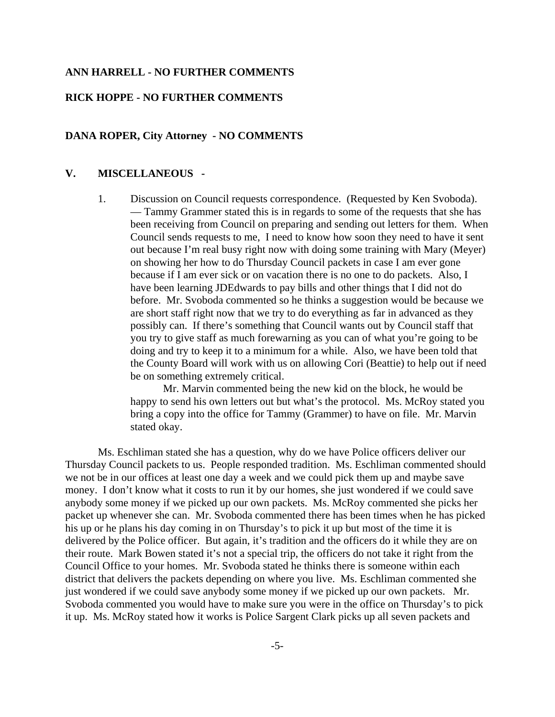#### **ANN HARRELL - NO FURTHER COMMENTS**

#### **RICK HOPPE - NO FURTHER COMMENTS**

### **DANA ROPER, City Attorney - NO COMMENTS**

#### **V. MISCELLANEOUS -**

1. Discussion on Council requests correspondence. (Requested by Ken Svoboda). — Tammy Grammer stated this is in regards to some of the requests that she has been receiving from Council on preparing and sending out letters for them. When Council sends requests to me, I need to know how soon they need to have it sent out because I'm real busy right now with doing some training with Mary (Meyer) on showing her how to do Thursday Council packets in case I am ever gone because if I am ever sick or on vacation there is no one to do packets. Also, I have been learning JDEdwards to pay bills and other things that I did not do before. Mr. Svoboda commented so he thinks a suggestion would be because we are short staff right now that we try to do everything as far in advanced as they possibly can. If there's something that Council wants out by Council staff that you try to give staff as much forewarning as you can of what you're going to be doing and try to keep it to a minimum for a while. Also, we have been told that the County Board will work with us on allowing Cori (Beattie) to help out if need be on something extremely critical.

Mr. Marvin commented being the new kid on the block, he would be happy to send his own letters out but what's the protocol. Ms. McRoy stated you bring a copy into the office for Tammy (Grammer) to have on file. Mr. Marvin stated okay.

Ms. Eschliman stated she has a question, why do we have Police officers deliver our Thursday Council packets to us. People responded tradition. Ms. Eschliman commented should we not be in our offices at least one day a week and we could pick them up and maybe save money. I don't know what it costs to run it by our homes, she just wondered if we could save anybody some money if we picked up our own packets. Ms. McRoy commented she picks her packet up whenever she can. Mr. Svoboda commented there has been times when he has picked his up or he plans his day coming in on Thursday's to pick it up but most of the time it is delivered by the Police officer. But again, it's tradition and the officers do it while they are on their route. Mark Bowen stated it's not a special trip, the officers do not take it right from the Council Office to your homes. Mr. Svoboda stated he thinks there is someone within each district that delivers the packets depending on where you live. Ms. Eschliman commented she just wondered if we could save anybody some money if we picked up our own packets. Mr. Svoboda commented you would have to make sure you were in the office on Thursday's to pick it up. Ms. McRoy stated how it works is Police Sargent Clark picks up all seven packets and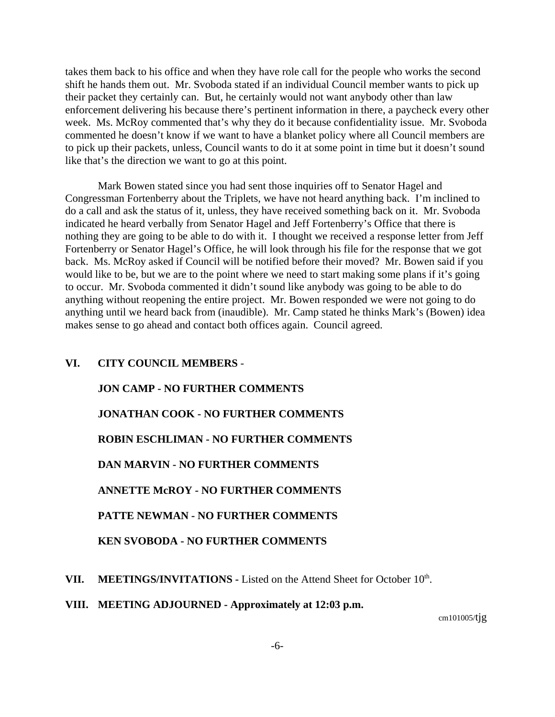takes them back to his office and when they have role call for the people who works the second shift he hands them out. Mr. Svoboda stated if an individual Council member wants to pick up their packet they certainly can. But, he certainly would not want anybody other than law enforcement delivering his because there's pertinent information in there, a paycheck every other week. Ms. McRoy commented that's why they do it because confidentiality issue. Mr. Svoboda commented he doesn't know if we want to have a blanket policy where all Council members are to pick up their packets, unless, Council wants to do it at some point in time but it doesn't sound like that's the direction we want to go at this point.

Mark Bowen stated since you had sent those inquiries off to Senator Hagel and Congressman Fortenberry about the Triplets, we have not heard anything back. I'm inclined to do a call and ask the status of it, unless, they have received something back on it. Mr. Svoboda indicated he heard verbally from Senator Hagel and Jeff Fortenberry's Office that there is nothing they are going to be able to do with it. I thought we received a response letter from Jeff Fortenberry or Senator Hagel's Office, he will look through his file for the response that we got back. Ms. McRoy asked if Council will be notified before their moved? Mr. Bowen said if you would like to be, but we are to the point where we need to start making some plans if it's going to occur. Mr. Svoboda commented it didn't sound like anybody was going to be able to do anything without reopening the entire project. Mr. Bowen responded we were not going to do anything until we heard back from (inaudible). Mr. Camp stated he thinks Mark's (Bowen) idea makes sense to go ahead and contact both offices again. Council agreed.

## **VI. CITY COUNCIL MEMBERS** -

# **JON CAMP - NO FURTHER COMMENTS JONATHAN COOK - NO FURTHER COMMENTS ROBIN ESCHLIMAN - NO FURTHER COMMENTS DAN MARVIN - NO FURTHER COMMENTS ANNETTE McROY - NO FURTHER COMMENTS PATTE NEWMAN - NO FURTHER COMMENTS KEN SVOBODA - NO FURTHER COMMENTS**

VII. MEETINGS/INVITATIONS - Listed on the Attend Sheet for October 10<sup>th</sup>.

**VIII. MEETING ADJOURNED - Approximately at 12:03 p.m.** 

cm101005/tjg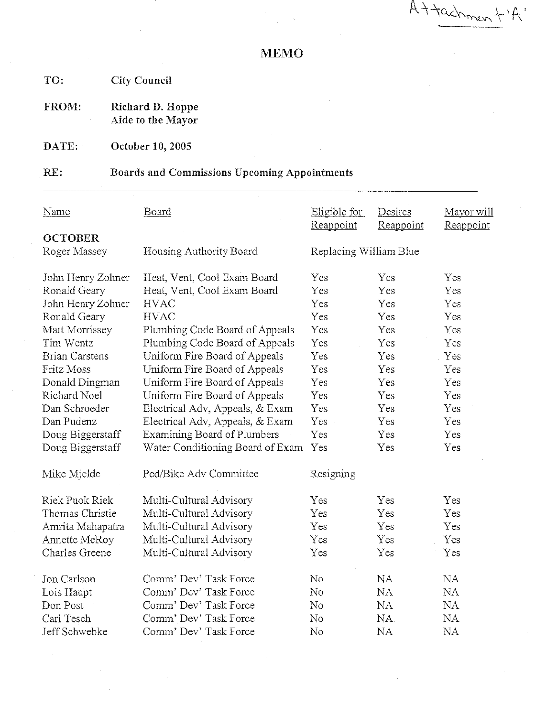Attachmen

## **MEMO**

TO: **City Council** 

**Richard D. Hoppe<br>Aide to the Mayor** FROM:

DATE: October 10, 2005

#### $RE:$ **Boards and Commissions Upcoming Appointments**

| <b>Name</b>                    | Board                            | Eligible for<br>Reappoint | Desires<br>Reappoint | Mayor will<br>Reappoint |
|--------------------------------|----------------------------------|---------------------------|----------------------|-------------------------|
| <b>OCTOBER</b><br>Roger Massey | Housing Authority Board          | Replacing William Blue    |                      |                         |
| John Henry Zohner              | Heat, Vent, Cool Exam Board      | Yes                       | Yes                  | Yes                     |
| Ronald Geary                   | Heat, Vent, Cool Exam Board      | Yes                       | Yes                  | Yes                     |
| John Henry Zohner              | <b>HVAC</b>                      | Yes                       | Yes                  | Yes                     |
| Ronald Geary                   | <b>HVAC</b>                      | Yes                       | Yes                  | Yes                     |
| Matt Morrissey                 | Plumbing Code Board of Appeals   | Yes                       | Yes                  | Yes                     |
| Tim Wentz                      | Plumbing Code Board of Appeals   | Yes                       | Yes                  | Yes                     |
| <b>Brian Carstens</b>          | Uniform Fire Board of Appeals    | Yes                       | Yes                  | Yes                     |
| Fritz Moss                     | Uniform Fire Board of Appeals    | Yes                       | Yes                  | Yes                     |
| Donald Dingman                 | Uniform Fire Board of Appeals    | Yes                       | Yes                  | Yes                     |
| Richard Noel                   | Uniform Fire Board of Appeals    | Yes                       | Yes                  | Yes                     |
| Dan Schroeder                  | Electrical Adv, Appeals, & Exam  | Yes                       | Yes                  | Yes                     |
| Dan Pudenz                     | Electrical Adv, Appeals, & Exam  | $Yes -$                   | Yes                  | Yes                     |
| Doug Biggerstaff               | Examining Board of Plumbers      | Yes                       | Yes                  | Yes                     |
| Doug Biggerstaff               | Water Conditioning Board of Exam | Yes                       | Yes                  | Yes                     |
| Mike Mjelde                    | Ped/Bike Adv Committee           | Resigning                 |                      |                         |
| Riek Puok Riek                 | Multi-Cultural Advisory          | Yes                       | Yes                  | Yes                     |
| Thomas Christie                | Multi-Cultural Advisory          | Yes                       | Yes                  | Yes                     |
| Amrita Mahapatra               | Multi-Cultural Advisory          | Yes                       | Yes                  | Yes                     |
| Annette McRoy                  | Multi-Cultural Advisory          | Yes                       | Yes                  | Yes                     |
| Charles Greene                 | Multi-Cultural Advisory          | Yes                       | Yes                  | Yes                     |
| Jon Carlson                    | Comm' Dev' Task Force            | No                        | NA                   | <b>NA</b>               |
| Lois Haupt                     | Comm' Dev' Task Force            | No                        | <b>NA</b>            | NA                      |
| Don Post                       | Comm' Dev' Task Force            | $\rm No$                  | NA                   | <b>NA</b>               |
| Carl Tesch                     | Comm' Dev' Task Force            | No                        | NA.                  | <b>NA</b>               |
| Jeff Schwebke                  | Comm' Dev' Task Force            | No                        | <b>NA</b>            | NA                      |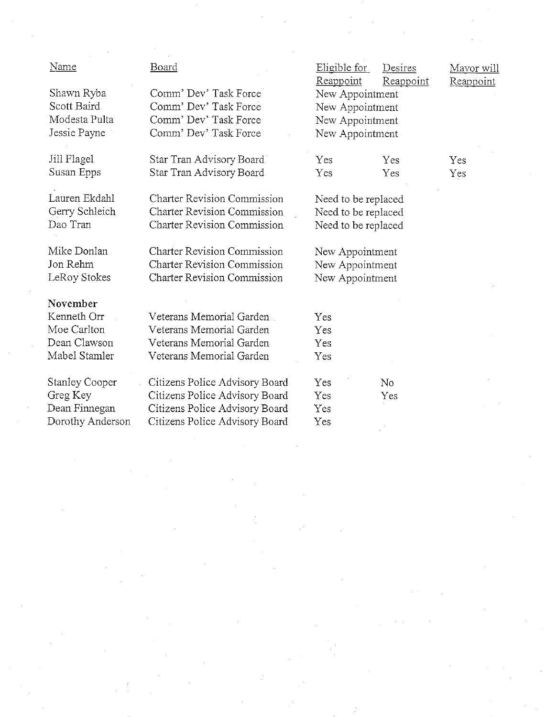| Name                  | <b>Board</b>                       | Eligible for<br>Reappoint | Desires<br>Reappoint | Mayor will<br>Reappoint |
|-----------------------|------------------------------------|---------------------------|----------------------|-------------------------|
| Shawn Ryba            | Comm' Dev' Task Force              | New Appointment           |                      |                         |
| Scott Baird           | Comm' Dev' Task Force              | New Appointment           |                      |                         |
| Modesta Pulta         | Comm' Dev' Task Force              | New Appointment           |                      |                         |
| Jessie Payne          | Comm' Dev' Task Force              | New Appointment           |                      |                         |
| Jill Flagel           | Star Tran Advisory Board           | Yes                       | Yes                  | Yes                     |
| Susan Epps            | Star Tran Advisory Board           | Yes                       | Yes                  | Yes                     |
| Lauren Ekdahl         | <b>Charter Revision Commission</b> | Need to be replaced       |                      |                         |
| Gerry Schleich        | <b>Charter Revision Commission</b> | Need to be replaced       |                      |                         |
| Dao Tran              | <b>Charter Revision Commission</b> | Need to be replaced       |                      |                         |
| Mike Donlan           | <b>Charter Revision Commission</b> | New Appointment           |                      |                         |
| Jon Rehm              | <b>Charter Revision Commission</b> | New Appointment           |                      |                         |
| LeRoy Stokes          | <b>Charter Revision Commission</b> | New Appointment           |                      |                         |
| November              |                                    |                           |                      |                         |
| Kenneth Orr           | Veterans Memorial Garden           | Yes                       |                      |                         |
| Moe Carlton           | Veterans Memorial Garden           | Yes                       |                      |                         |
| Dean Clawson          | Veterans Memorial Garden           | Yes                       |                      |                         |
| Mabel Stamler         | Veterans Memorial Garden           | Yes                       |                      |                         |
| <b>Stanley Cooper</b> | Citizens Police Advisory Board     | Yes                       | No                   |                         |
| Greg Key              | Citizens Police Advisory Board     | Yes                       | Yes                  |                         |
| Dean Finnegan         | Citizens Police Advisory Board     | Yes                       |                      |                         |
| Dorothy Anderson      | Citizens Police Advisory Board     | Yes                       |                      |                         |

 $\label{eq:2.1} \frac{d\mathbf{r}}{d\mathbf{r}} = \frac{1}{2} \sum_{i=1}^n \frac{d\mathbf{r}}{d\mathbf{r}} \left[ \frac{d\mathbf{r}}{d\mathbf{r}} \right] \left[ \frac{d\mathbf{r}}{d\mathbf{r}} \right] \left[ \frac{d\mathbf{r}}{d\mathbf{r}} \right] \left[ \frac{d\mathbf{r}}{d\mathbf{r}} \right] \left[ \frac{d\mathbf{r}}{d\mathbf{r}} \right] \left[ \frac{d\mathbf{r}}{d\mathbf{r}} \right] \left[ \frac{d\mathbf{r}}{$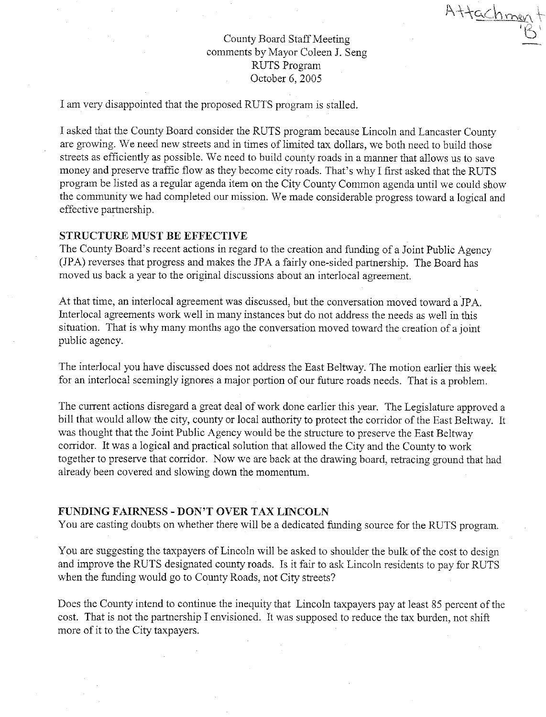Attachmen

## County Board Staff Meeting comments by Mayor Coleen J. Seng **RUTS Program** October 6, 2005

I am very disappointed that the proposed RUTS program is stalled.

I asked that the County Board consider the RUTS program because Lincoln and Lancaster County are growing. We need new streets and in times of limited tax dollars, we both need to build those streets as efficiently as possible. We need to build county roads in a manner that allows us to save money and preserve traffic flow as they become city roads. That's why I first asked that the RUTS program be listed as a regular agenda item on the City County Common agenda until we could show the community we had completed our mission. We made considerable progress toward a logical and effective partnership.

### **STRUCTURE MUST BE EFFECTIVE**

The County Board's recent actions in regard to the creation and funding of a Joint Public Agency (JPA) reverses that progress and makes the JPA a fairly one-sided partnership. The Board has moved us back a year to the original discussions about an interlocal agreement.

At that time, an interlocal agreement was discussed, but the conversation moved toward a JPA. Interlocal agreements work well in many instances but do not address the needs as well in this situation. That is why many months ago the conversation moved toward the creation of a joint public agency.

The interlocal you have discussed does not address the East Beltway. The motion earlier this week for an interlocal seemingly ignores a major portion of our future roads needs. That is a problem.

The current actions disregard a great deal of work done earlier this year. The Legislature approved a bill that would allow the city, county or local authority to protect the corridor of the East Beltway. It was thought that the Joint Public Agency would be the structure to preserve the East Beltway corridor. It was a logical and practical solution that allowed the City and the County to work together to preserve that corridor. Now we are back at the drawing board, retracing ground that had already been covered and slowing down the momentum.

#### FUNDING FAIRNESS - DON'T OVER TAX LINCOLN

You are casting doubts on whether there will be a dedicated funding source for the RUTS program.

You are suggesting the taxpayers of Lincoln will be asked to shoulder the bulk of the cost to design and improve the RUTS designated county roads. Is it fair to ask Lincoln residents to pay for RUTS when the funding would go to County Roads, not City streets?

Does the County intend to continue the inequity that Lincoln taxpayers pay at least 85 percent of the cost. That is not the partnership I envisioned. It was supposed to reduce the tax burden, not shift more of it to the City taxpayers.